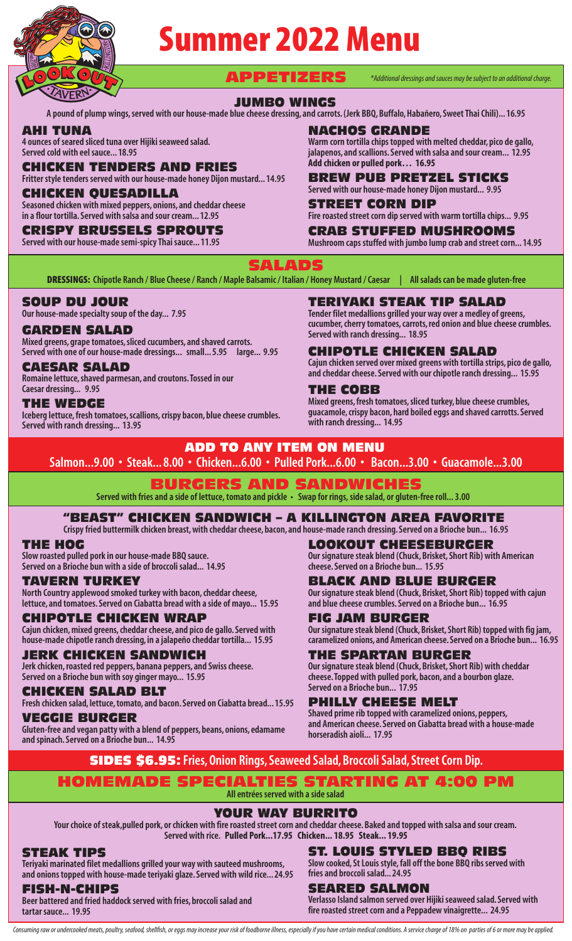

# Summer 2022 Menu

APPETIZERS *\*Additional dressings and sauces may be subject to an additional charge.*

### JUMBO WINGS

**A pound of plump wings, served with our house-made blue cheese dressing, and carrots. (Jerk BBQ, Buffalo, Habañero, Sweet Thai Chili)... 16.95**

#### AHI TUNA

**4 ounces of seared sliced tuna over Hijiki seaweed salad. Served cold with eel sauce... 18.95**

## CHICKEN TENDERS AND FRIES

**Fritter style tenders served with our house-made honey Dijon mustard... 14.95**

#### CKEN QUESADILL

**Seasoned chicken with mixed peppers, onions, and cheddar cheese in a flour tortilla. Served with salsa and sour cream... 12.95**

## CRISPY BRUSSELS SPROUTS

**Served with our house-made semi-spicy Thai sauce... 11.95**

NACHOS GRANDE

**Served with ranch dressing... 18.95**

**Warm corn tortilla chips topped with melted cheddar, pico de gallo, jalapenos, and scallions. Served with salsa and sour cream... 12.95 Add chicken or pulled pork… 16.95**

BREW PUB PRETZEL STICKS **Served with our house-made honey Dijon mustard... 9.95**

STREET CORN DIP

TERIYAKI STEAK TIP SALAD **Tender filet medallions grilled your way over a medley of greens, cucumber, cherry tomatoes, carrots, red onion and blue cheese crumbles.** 

CHIPOTLE CHICKEN SALAD

**Fire roasted street corn dip served with warm tortilla chips... 9.95**

# CRAB STUFFED MUSHROOMS

**Mushroom caps stuffed with jumbo lump crab and street corn... 14.95**

**Cajun chicken served over mixed greens with tortilla strips, pico de gallo, and cheddar cheese. Served with our chipotle ranch dressing... 15.95**

SALADS

DRESSINGS: **Chipotle Ranch / Blue Cheese / Ranch / Maple Balsamic / Italian / Honey Mustard / Caesar | All salads can be made gluten-free**

## SOUP DU JOUR

**Our house-made specialty soup of the day... 7.95** 

#### GARDEN SALAD

**Mixed greens, grape tomatoes, sliced cucumbers, and shaved carrots. Served with one of our house-made dressings... small... 5.95 large... 9.95** 

## CAESAR SALAD

**Romaine lettuce, shaved parmesan, and croutons. Tossed in our Caesar dressing... 9.95**

## THE WEDGE

**Iceberg lettuce, fresh tomatoes, scallions, crispy bacon, blue cheese crumbles. Served with ranch dressing... 13.95**

#### **Mixed greens, fresh tomatoes, sliced turkey, blue cheese crumbles, guacamole, crispy bacon, hard boiled eggs and shaved carrotts. Served**

THE COBB

**with ranch dressing... 14.95**

ADD TO ANY ITEM ON MENU

## **Salmon...9.00 • Steak... 8.00 • Chicken...6.00 • Pulled Pork...6.00 • Bacon...3.00 • Guacamole...3.00**

# BURGERS AND SANDWICHES

**Served with fries and a side of lettuce, tomato and pickle • Swap for rings, side salad, or gluten-free roll... 3.00**

## "BEAST" CHICKEN SANDWICH – A KILLINGTON AREA FAVORITE

**Crispy fried buttermilk chicken breast, with cheddar cheese, bacon, and house-made ranch dressing. Served on a Brioche bun... 16.95**

#### THE HOG

**Slow roasted pulled pork in our house-made BBQ sauce. Served on a Brioche bun with a side of broccoli salad... 14.95**

## **TERN TURKEY**

**North Country applewood smoked turkey with bacon, cheddar cheese, lettuce, and tomatoes. Served on Ciabatta bread with a side of mayo... 15.95**

#### CHIPOTLE CHICKEN WRAP

**Cajun chicken, mixed greens, cheddar cheese, and pico de gallo. Served with house-made chipotle ranch dressing, in a jalapeño cheddar tortilla... 15.95**

#### JERK CHICKEN SANDWICH

**Jerk chicken, roasted red peppers, banana peppers, and Swiss cheese. Served on a Brioche bun with soy ginger mayo... 15.95**

## CHICKEN SALAD BLT

**Fresh chicken salad, lettuce, tomato, and bacon. Served on Ciabatta bread... 15.95**

## VEGGIE BURGER

**Gluten-free and vegan patty with a blend of peppers, beans, onions, edamame and spinach. Served on a Brioche bun... 14.95**

LOOKOUT CHEESEBURGER **Our signature steak blend (Chuck, Brisket, Short Rib) with American cheese. Served on a Brioche bun... 15.95**

## BLACK AND BLUE BURGER

**Our signature steak blend (Chuck, Brisket, Short Rib) topped with cajun and blue cheese crumbles. Served on a Brioche bun... 16.95**

## FIG JAM BURGER

**Our signature steak blend (Chuck, Brisket, Short Rib) topped with fig jam, caramelized onions, and American cheese. Served on a Brioche bun... 16.95**

## THE SPARTAN BURGER

**Our signature steak blend (Chuck, Brisket, Short Rib) with cheddar cheese. Topped with pulled pork, bacon, and a bourbon glaze. Served on a Brioche bun... 17.95**

## PHILLY CHEESE MELT

**Shaved prime rib topped with caramelized onions, peppers, and American cheese. Served on Ciabatta bread with a house-made horseradish aioli... 17.95**

SIDES \$6.95: **Fries, Onion Rings, Seaweed Salad, Broccoli Salad, Street Corn Dip.**

## HOMEMADE SPECIALTIES STARTING AT 4:00 PM

**All entrées served with a side salad**

## YOUR WAY BURRITO

**Your choice of steak,pulled pork, or chicken with fire roasted street corn and cheddar cheese. Baked and topped with salsa and sour cream. Served with rice. Pulled Pork...17.95 Chicken... 18.95 Steak... 19.95**

## STEAK TIPS

**Teriyaki marinated filet medallions grilled your way with sauteed mushrooms, and onions topped with house-made teriyaki glaze. Served with wild rice... 24.95**

## FISH-N-CHIPS

**Beer battered and fried haddock served with fries, broccoli salad and tartar sauce... 19.95**

#### ST. LOUIS STYLED BBQ RIBS **Slow cooked, St Louis style, fall off the bone BBQ ribs served with**

**fries and broccoli salad... 24.95** SEARED SALMON

#### **Verlasso Island salmon served over Hijiki seaweed salad. Served with fire roasted street corn and a Peppadew vinaigrette... 24.95**

Consuming raw or undercooked meats, poultry, seafood, shellfish, or eggs may increase your risk of foodborne illness, especially if you have certain medical conditions. A service charge of 18% on parties of 6 or more may b